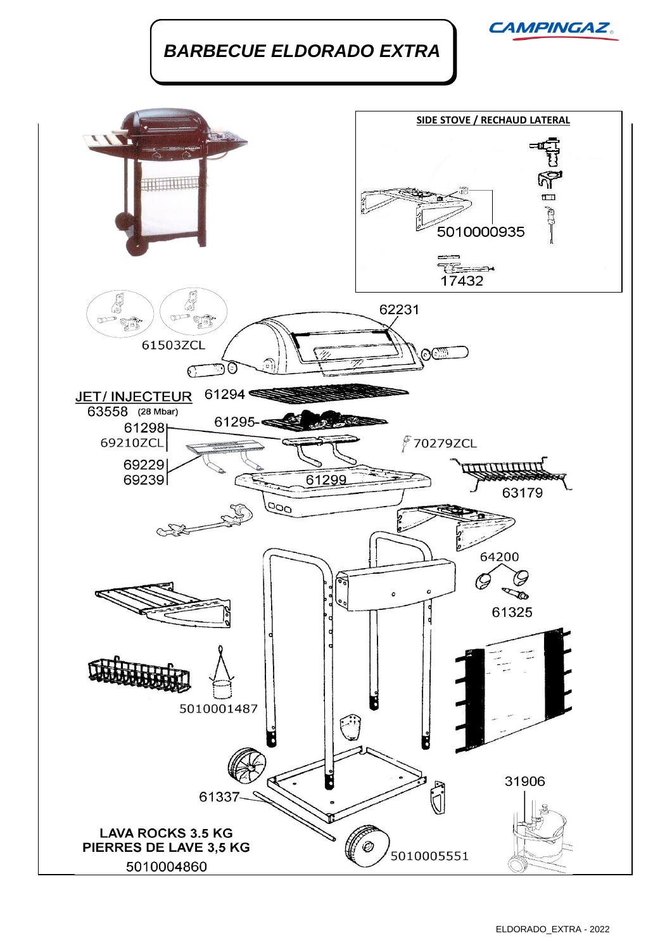*BARBECUE ELDORADO EXTRA*